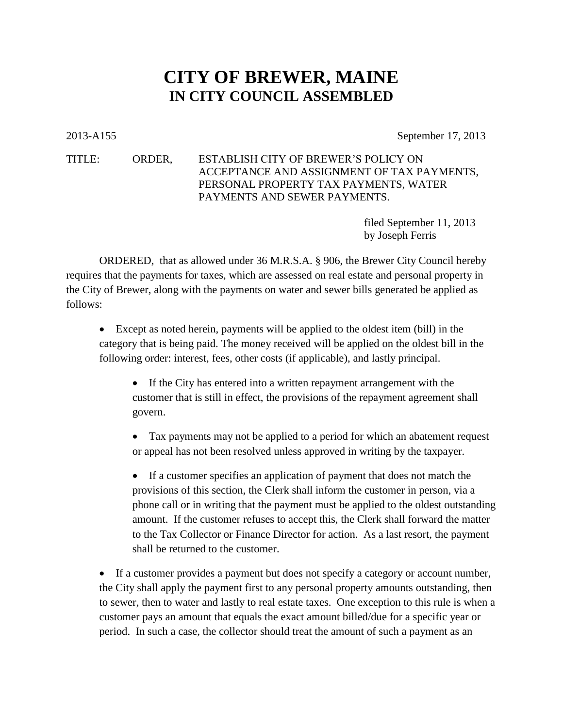## **CITY OF BREWER, MAINE IN CITY COUNCIL ASSEMBLED**

2013-A155 September 17, 2013

## TITLE: ORDER, ESTABLISH CITY OF BREWER'S POLICY ON ACCEPTANCE AND ASSIGNMENT OF TAX PAYMENTS, PERSONAL PROPERTY TAX PAYMENTS, WATER PAYMENTS AND SEWER PAYMENTS.

filed September 11, 2013 by Joseph Ferris

ORDERED, that as allowed under 36 M.R.S.A. § 906, the Brewer City Council hereby requires that the payments for taxes, which are assessed on real estate and personal property in the City of Brewer, along with the payments on water and sewer bills generated be applied as follows:

 Except as noted herein, payments will be applied to the oldest item (bill) in the category that is being paid. The money received will be applied on the oldest bill in the following order: interest, fees, other costs (if applicable), and lastly principal.

 If the City has entered into a written repayment arrangement with the customer that is still in effect, the provisions of the repayment agreement shall govern.

 Tax payments may not be applied to a period for which an abatement request or appeal has not been resolved unless approved in writing by the taxpayer.

 If a customer specifies an application of payment that does not match the provisions of this section, the Clerk shall inform the customer in person, via a phone call or in writing that the payment must be applied to the oldest outstanding amount. If the customer refuses to accept this, the Clerk shall forward the matter to the Tax Collector or Finance Director for action. As a last resort, the payment shall be returned to the customer.

 If a customer provides a payment but does not specify a category or account number, the City shall apply the payment first to any personal property amounts outstanding, then to sewer, then to water and lastly to real estate taxes. One exception to this rule is when a customer pays an amount that equals the exact amount billed/due for a specific year or period. In such a case, the collector should treat the amount of such a payment as an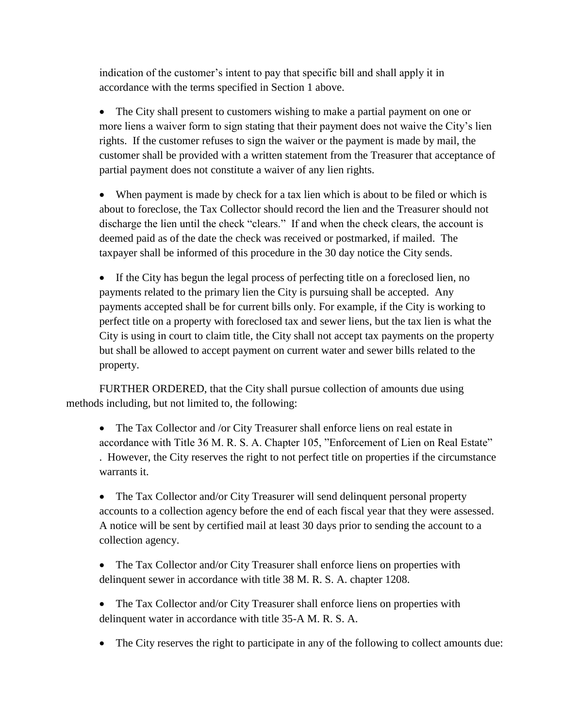indication of the customer's intent to pay that specific bill and shall apply it in accordance with the terms specified in Section 1 above.

 The City shall present to customers wishing to make a partial payment on one or more liens a waiver form to sign stating that their payment does not waive the City's lien rights. If the customer refuses to sign the waiver or the payment is made by mail, the customer shall be provided with a written statement from the Treasurer that acceptance of partial payment does not constitute a waiver of any lien rights.

 When payment is made by check for a tax lien which is about to be filed or which is about to foreclose, the Tax Collector should record the lien and the Treasurer should not discharge the lien until the check "clears." If and when the check clears, the account is deemed paid as of the date the check was received or postmarked, if mailed. The taxpayer shall be informed of this procedure in the 30 day notice the City sends.

 If the City has begun the legal process of perfecting title on a foreclosed lien, no payments related to the primary lien the City is pursuing shall be accepted. Any payments accepted shall be for current bills only. For example, if the City is working to perfect title on a property with foreclosed tax and sewer liens, but the tax lien is what the City is using in court to claim title, the City shall not accept tax payments on the property but shall be allowed to accept payment on current water and sewer bills related to the property.

FURTHER ORDERED, that the City shall pursue collection of amounts due using methods including, but not limited to, the following:

• The Tax Collector and /or City Treasurer shall enforce liens on real estate in accordance with Title 36 M. R. S. A. Chapter 105, "Enforcement of Lien on Real Estate" . However, the City reserves the right to not perfect title on properties if the circumstance warrants it.

• The Tax Collector and/or City Treasurer will send delinquent personal property accounts to a collection agency before the end of each fiscal year that they were assessed. A notice will be sent by certified mail at least 30 days prior to sending the account to a collection agency.

• The Tax Collector and/or City Treasurer shall enforce liens on properties with delinquent sewer in accordance with title 38 M. R. S. A. chapter 1208.

• The Tax Collector and/or City Treasurer shall enforce liens on properties with delinquent water in accordance with title 35-A M. R. S. A.

The City reserves the right to participate in any of the following to collect amounts due: